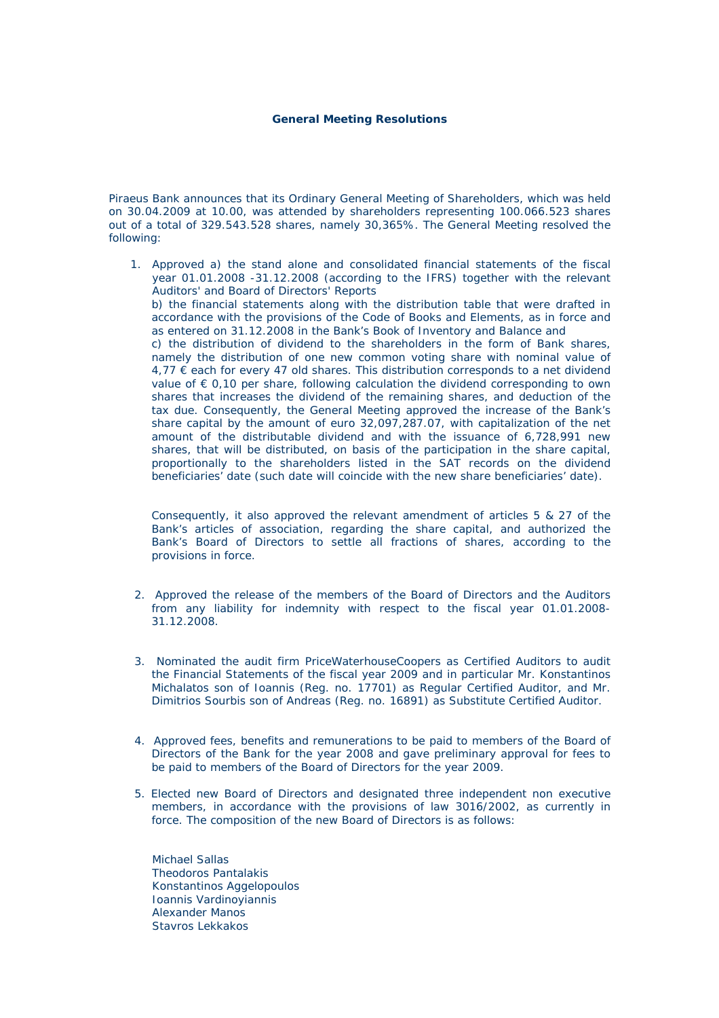## **General Meeting Resolutions**

Piraeus Bank announces that its Ordinary General Meeting of Shareholders, which was held on 30.04.2009 at 10.00, was attended by shareholders representing 100.066.523 shares out of a total of 329.543.528 shares, namely 30,365%. The General Meeting resolved the following:

1. Approved a) the stand alone and consolidated financial statements of the fiscal year 01.01.2008 -31.12.2008 (according to the IFRS) together with the relevant Auditors' and Board of Directors' Reports b) the financial statements along with the distribution table that were drafted in accordance with the provisions of the Code of Books and Elements, as in force and as entered on 31.12.2008 in the Bank's Book of Inventory and Balance and c) the distribution of dividend to the shareholders in the form of Bank shares, namely the distribution of one new common voting share with nominal value of  $4.77 \in$  each for every 47 old shares. This distribution corresponds to a net dividend value of  $\epsilon$  0,10 per share, following calculation the dividend corresponding to own shares that increases the dividend of the remaining shares, and deduction of the tax due. Consequently, the General Meeting approved the increase of the Bank's share capital by the amount of euro 32,097,287.07, with capitalization of the net amount of the distributable dividend and with the issuance of 6,728,991 new shares, that will be distributed, on basis of the participation in the share capital, proportionally to the shareholders listed in the SAT records on the dividend beneficiaries' date (such date will coincide with the new share beneficiaries' date).

Consequently, it also approved the relevant amendment of articles 5 & 27 of the Bank's articles of association, regarding the share capital, and authorized the Bank's Board of Directors to settle all fractions of shares, according to the provisions in force.

- 2. Approved the release of the members of the Board of Directors and the Auditors from any liability for indemnity with respect to the fiscal year 01.01.2008- 31.12.2008.
- 3. Nominated the audit firm PriceWaterhouseCoopers as Certified Auditors to audit the Financial Statements of the fiscal year 2009 and in particular Mr. Konstantinos Michalatos son of Ioannis (Reg. no. 17701) as Regular Certified Auditor, and Mr. Dimitrios Sourbis son of Andreas (Reg. no. 16891) as Substitute Certified Auditor.
- 4. Approved fees, benefits and remunerations to be paid to members of the Board of Directors of the Bank for the year 2008 and gave preliminary approval for fees to be paid to members of the Board of Directors for the year 2009.
- 5. Elected new Board of Directors and designated three independent non executive members, in accordance with the provisions of law 3016/2002, as currently in force. The composition of the new Board of Directors is as follows:

 Michael Sallas Theodoros Pantalakis Konstantinos Aggelopoulos Ioannis Vardinoyiannis Alexander Manos Stavros Lekkakos